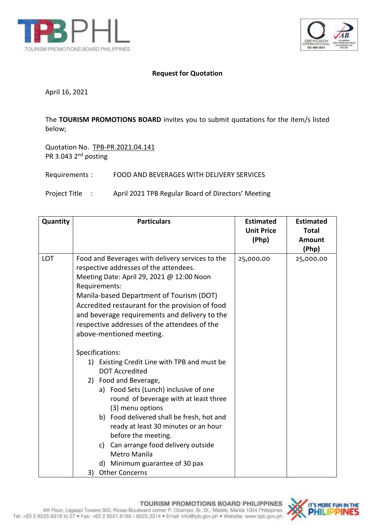



## **Request for Quotation**

April 16, 2021

The **TOURISM PROMOTIONS BOARD** invites you to submit quotations for the item/s listed below;

Quotation No. TPB-PR.2021.04.141 PR 3.043 2<sup>nd</sup> posting

Requirements : FOOD AND BEVERAGES WITH DELIVERY SERVICES

Project Title : April 2021 TPB Regular Board of Directors' Meeting

| Quantity | <b>Particulars</b>                                                                                                                                                                                                                                                                                                                                                                                                                                           | <b>Estimated</b><br><b>Unit Price</b> | <b>Estimated</b><br><b>Total</b> |
|----------|--------------------------------------------------------------------------------------------------------------------------------------------------------------------------------------------------------------------------------------------------------------------------------------------------------------------------------------------------------------------------------------------------------------------------------------------------------------|---------------------------------------|----------------------------------|
|          |                                                                                                                                                                                                                                                                                                                                                                                                                                                              | (Php)                                 | Amount<br>(Php)                  |
| LOT      | Food and Beverages with delivery services to the<br>respective addresses of the attendees.<br>Meeting Date: April 29, 2021 @ 12:00 Noon<br>Requirements:<br>Manila-based Department of Tourism (DOT)<br>Accredited restaurant for the provision of food<br>and beverage requirements and delivery to the<br>respective addresses of the attendees of the<br>above-mentioned meeting.                                                                         | 25,000.00                             | 25,000.00                        |
|          | Specifications:<br>1) Existing Credit Line with TPB and must be<br><b>DOT Accredited</b><br>2) Food and Beverage,<br>a) Food Sets (Lunch) inclusive of one<br>round of beverage with at least three<br>(3) menu options<br>b) Food delivered shall be fresh, hot and<br>ready at least 30 minutes or an hour<br>before the meeting.<br>c) Can arrange food delivery outside<br>Metro Manila<br>d) Minimum guarantee of 30 pax<br><b>Other Concerns</b><br>3) |                                       |                                  |

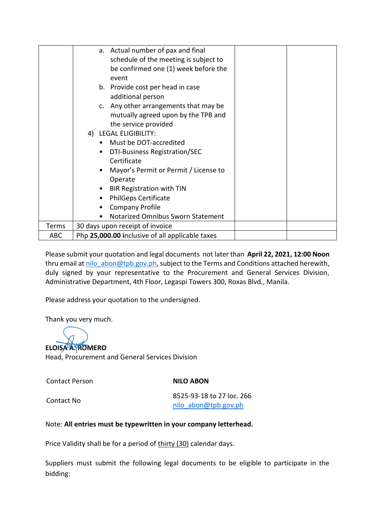|            | a. Actual number of pax and final               |  |
|------------|-------------------------------------------------|--|
|            | schedule of the meeting is subject to           |  |
|            |                                                 |  |
|            | be confirmed one (1) week before the            |  |
|            | event                                           |  |
|            | Provide cost per head in case<br>b.             |  |
|            | additional person                               |  |
|            | c. Any other arrangements that may be           |  |
|            | mutually agreed upon by the TPB and             |  |
|            | the service provided                            |  |
|            | 4) LEGAL ELIGIBILITY:                           |  |
|            | Must be DOT-accredited                          |  |
|            | DTI-Business Registration/SEC<br>٠              |  |
|            | Certificate                                     |  |
|            | Mayor's Permit or Permit / License to           |  |
|            | Operate                                         |  |
|            | <b>BIR Registration with TIN</b>                |  |
|            | <b>PhilGeps Certificate</b>                     |  |
|            | <b>Company Profile</b>                          |  |
|            | Notarized Omnibus Sworn Statement               |  |
| Terms      | 30 days upon receipt of invoice                 |  |
| <b>ABC</b> | Php 25,000.00 inclusive of all applicable taxes |  |

Please submit your quotation and legal documents not later than **April 22, 2021, 12:00 Noon**  thru email a[t nilo\\_abon@tpb.gov.ph,](mailto:nilo_abon@tpb.gov.ph) subject to the Terms and Conditions attached herewith, duly signed by your representative to the Procurement and General Services Division, Administrative Department, 4th Floor, Legaspi Towers 300, Roxas Blvd., Manila.

Please address your quotation to the undersigned.

Thank you very much.

**ELOISA A. ROMERO**  Head, Procurement and General Services Division

Contact Person **NILO ABON**

Contact No 8525-93-18 to 27 loc. 266 [nilo\\_abon@tpb.gov.ph](mailto:nilo_abon@tpb.gov.ph)

## Note: **All entries must be typewritten in your company letterhead.**

Price Validity shall be for a period of thirty (30) calendar days.

Suppliers must submit the following legal documents to be eligible to participate in the bidding: